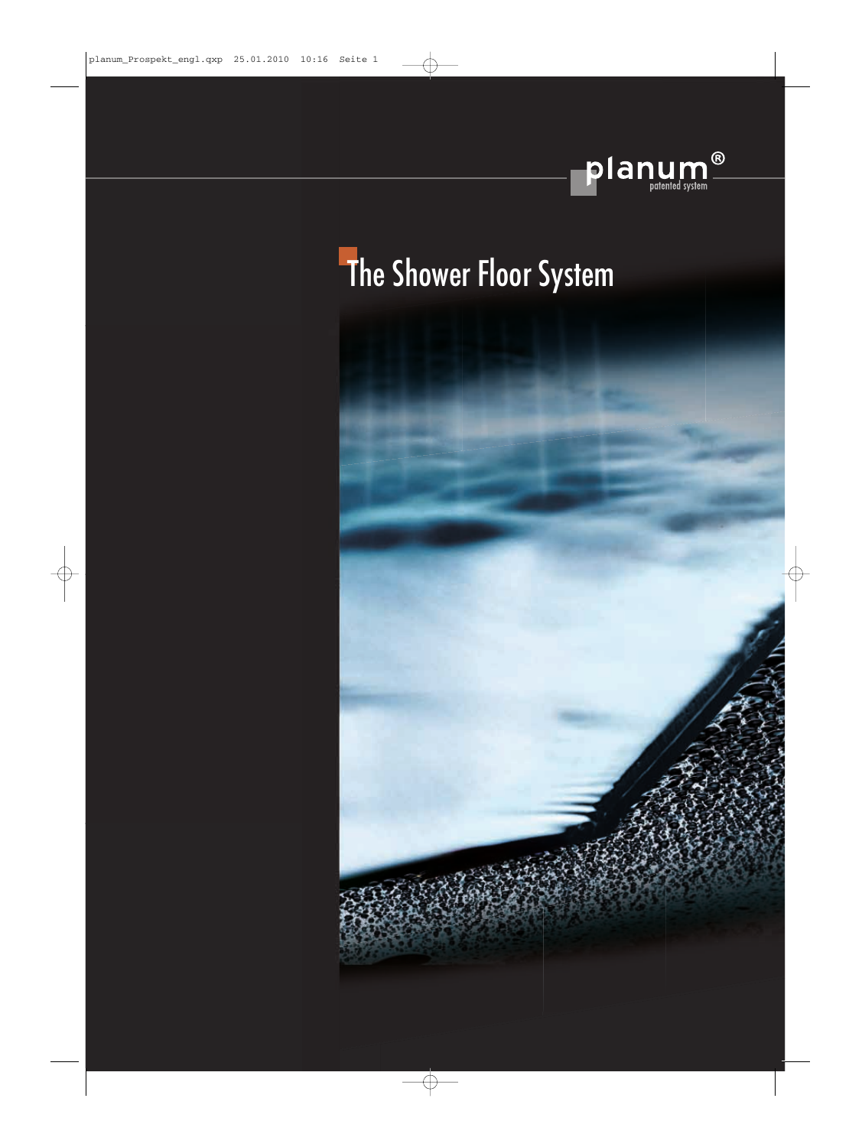

# The Shower Floor System

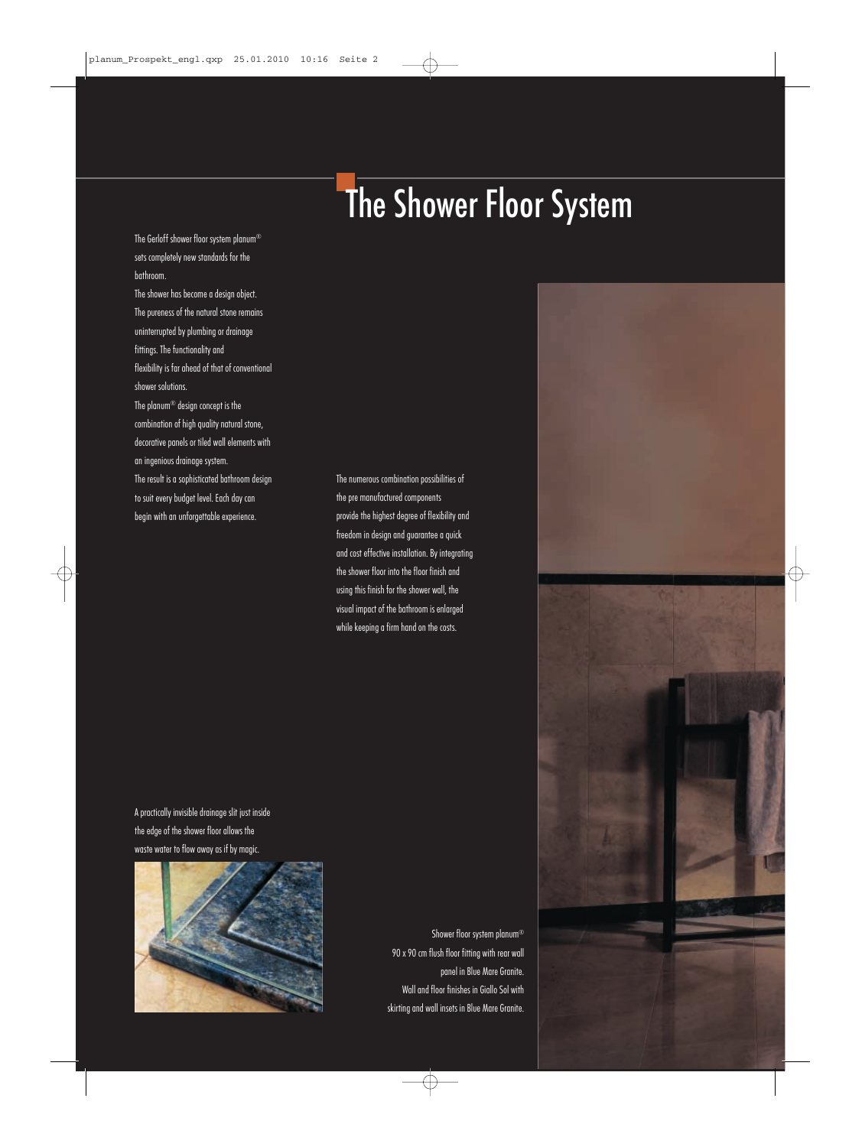# The Shower Floor System

The Gerloff shower floor system planum® sets completely new standards for the bathroom.

The shower has become a design object. The pureness of the natural stone remains uninterrupted by plumbing or drainage fittings. The functionality and flexibility is far ahead of that of conventional shower solutions.

The planum® design concept is the combination of high quality natural stone, decorative panels or tiled wall elements with an ingenious drainage system. The result is a sophisticated bathroom design to suit every budget level. Each day can

begin with an unforgettable experience.

The numerous combination possibilities of the pre manufactured components provide the highest degree of flexibility and freedom in design and guarantee a quick and cost effective installation. By integrating the shower floor into the floor finish and using this finish for the shower wall, the visual impact of the bathroom is enlarged while keeping a firm hand on the costs.

A practically invisible drainage slit just inside the edge of the shower floor allows the waste water to flow away as if by magic.



Shower floor system planum® 90 x 90 cm flush floor fitting with rear wall panel in Blue Mare Granite. Wall and floor finishes in Giallo Sol with skirting and wall insets in Blue Mare Granite.



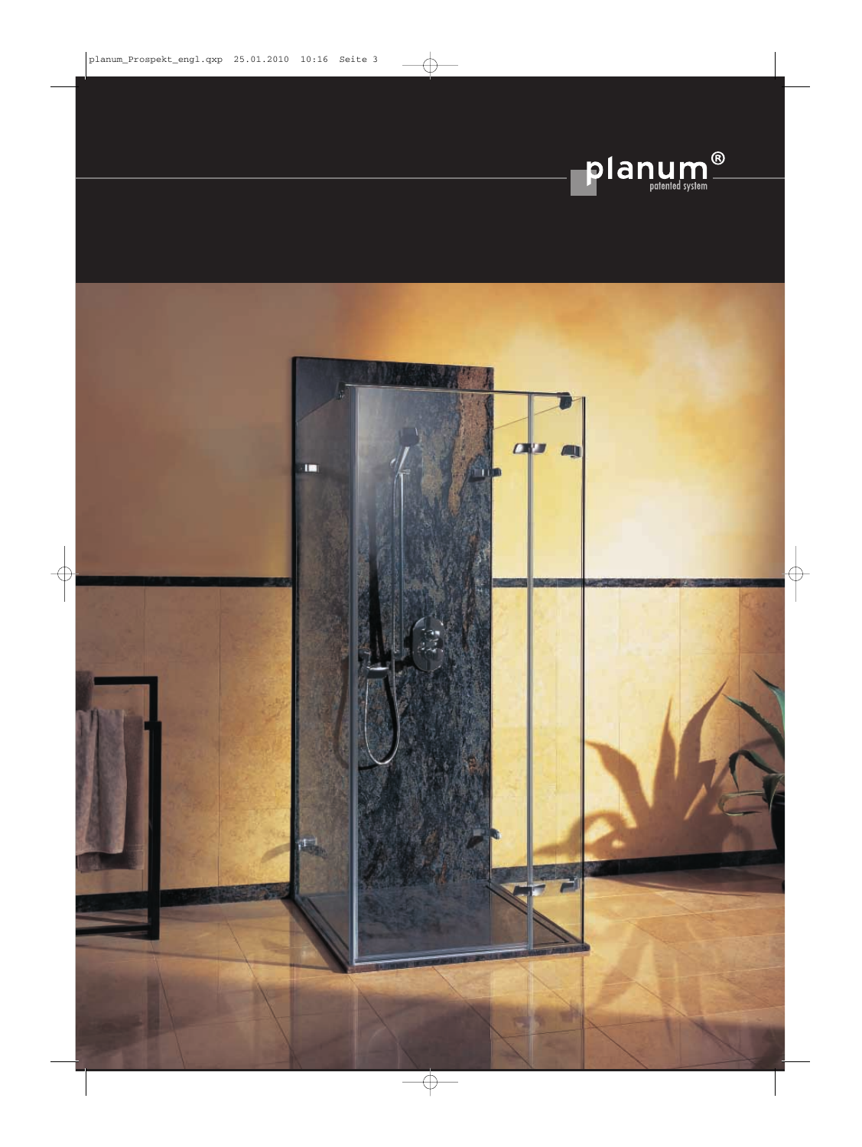

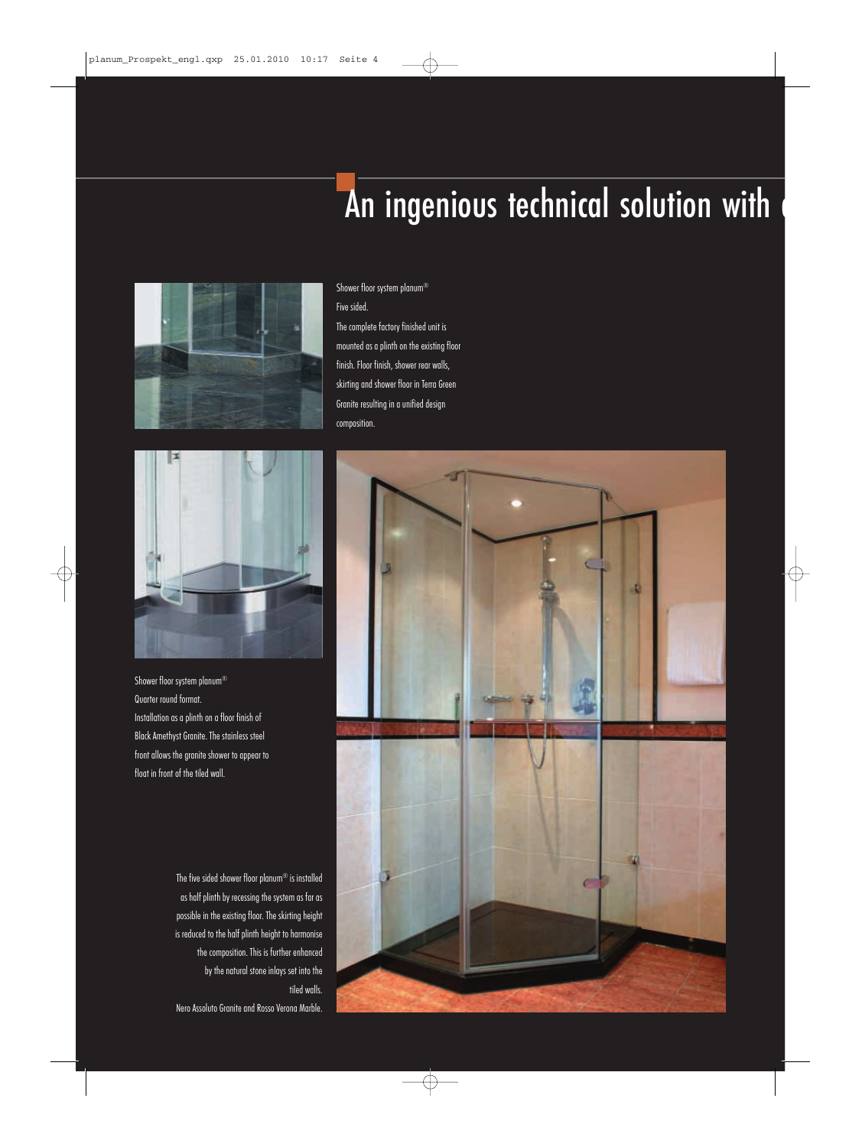## An ingenious technical solution with



#### Shower floor system planum®

Five sided. The complete factory finished unit is mounted as a plinth on the existing floor finish. Floor finish, shower rear walls, skirting and shower floor in Terra Green Granite resulting in a unified design composition.



Shower floor system planum® Quarter round format. Installation as a plinth on a floor finish of Black Amethyst Granite. The stainless steel front allows the granite shower to appear to float in front of the tiled wall.

> The five sided shower floor planum® is installed as half plinth by recessing the system as far as possible in the existing floor. The skirting height is reduced to the half plinth height to harmonise the composition. This is further enhanced by the natural stone inlays set into the tiled walls. Nero Assoluto Granite and Rosso Verona Marble.

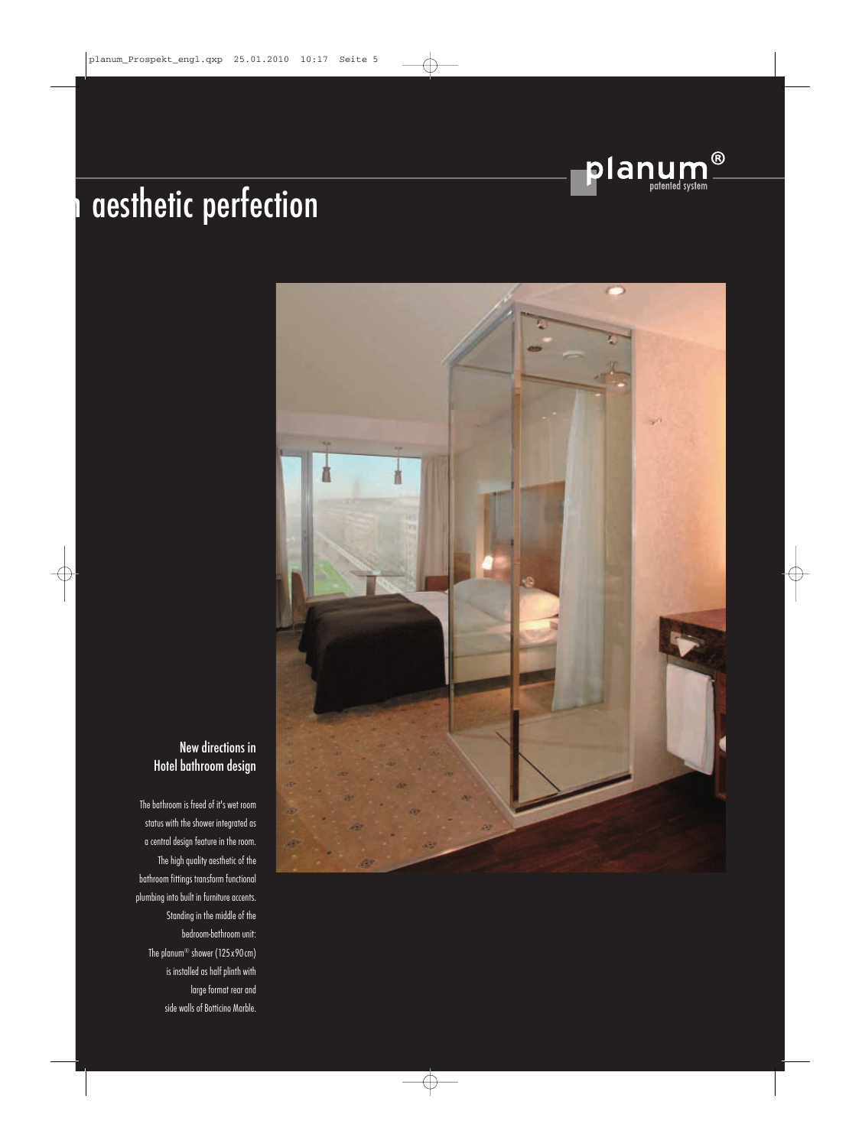

## aesthetic perfection



## New directions in Hotel bathroom design

The bathroom is freed of it's wet room status with the shower integrated as a central design feature in the room. The high quality aesthetic of the bathroom fittings transform functional plumbing into built in furniture accents. Standing in the middle of the bedroom-bathroom unit: The planum® shower (125x90cm) is installed as half plinth with large format rear and side walls of Botticino Marble.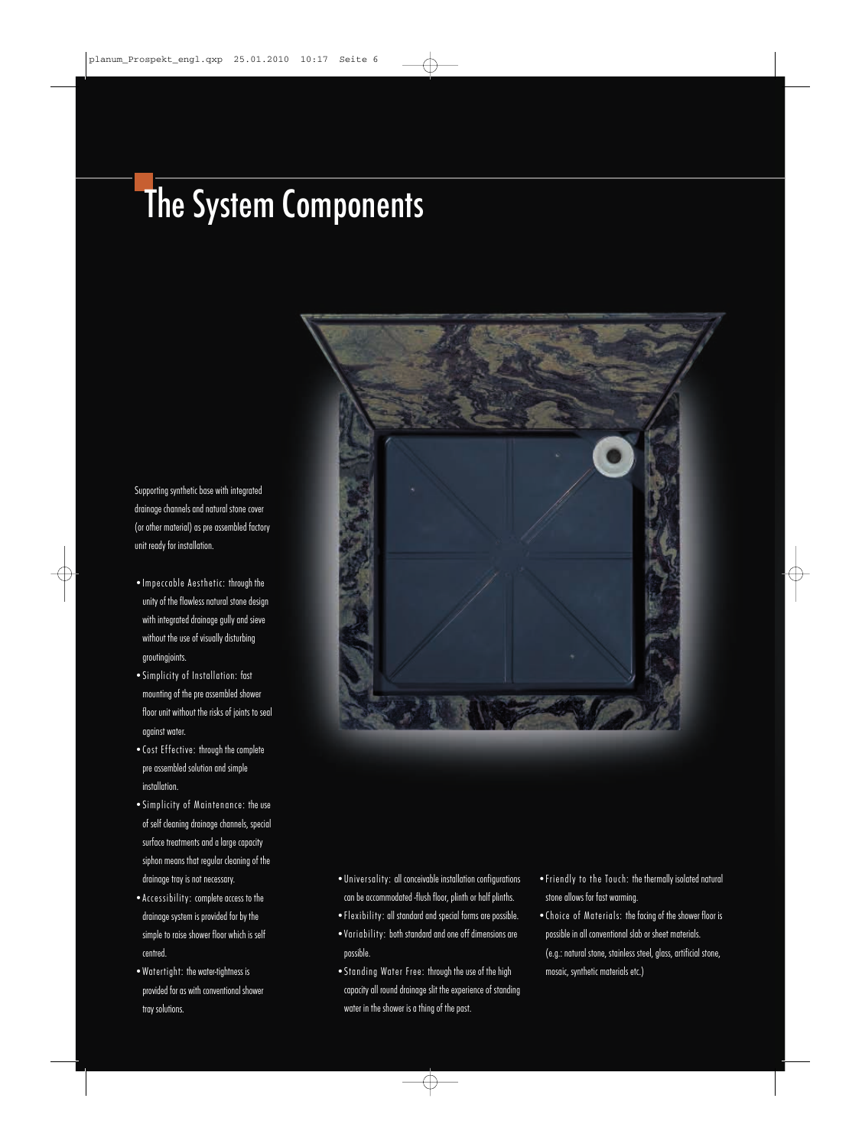## **The System Components**

Supporting synthetic base with integrated drainage channels and natural stone cover (or other material) as pre assembled factory unit ready for installation.

- •Impeccable Aesthetic: through the unity of the flawless natural stone design with integrated drainage gully and sieve without the use of visually disturbing groutingjoints.
- •Simplicity of Installation: fast mounting of the pre assembled shower floor unit without the risks of joints to seal against water.
- •Cost Effective: through the complete pre assembled solution and simple installation.
- •Simplicity of Maintenance: the use of self cleaning drainage channels, special surface treatments and a large capacity siphon means that regular cleaning of the drainage tray is not necessary.
- •Accessibility: complete access to the drainage system is provided for by the simple to raise shower floor which is self centred.
- •Watertight: the water-tightness is provided for as with conventional shower tray solutions.



- •Universality: all conceivable installation configurations can be accommodated -flush floor, plinth or half plinths.
- •Flexibility: all standard and special forms are possible.
- •Variability: both standard and one off dimensions are possible.
- •Standing Water Free: through the use of the high capacity all round drainage slit the experience of standing water in the shower is a thing of the past.
- •Friendly to the Touch: the thermally isolated natural stone allows for fast warming.
- •Choice of Materials: the facing of the shower floor is possible in all conventional slab or sheet materials. (e.g.: natural stone, stainless steel, glass, artificial stone,
- mosaic, synthetic materials etc.)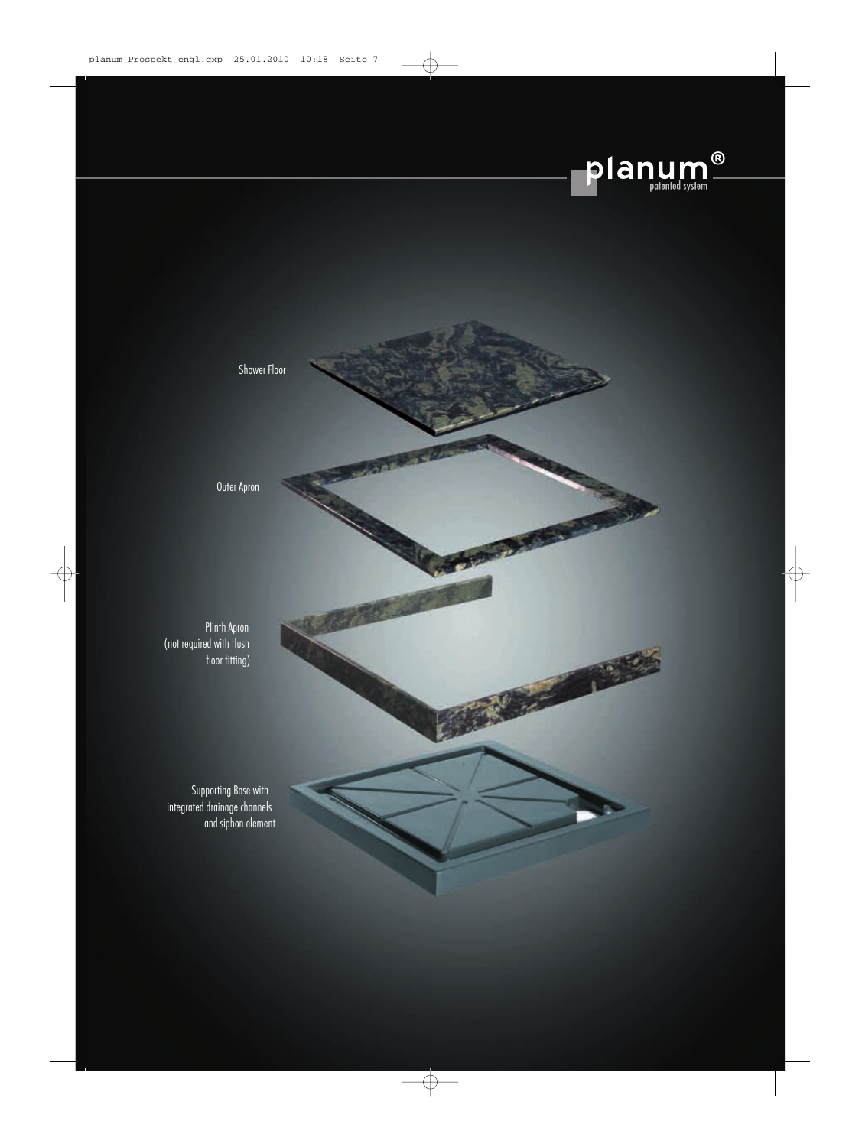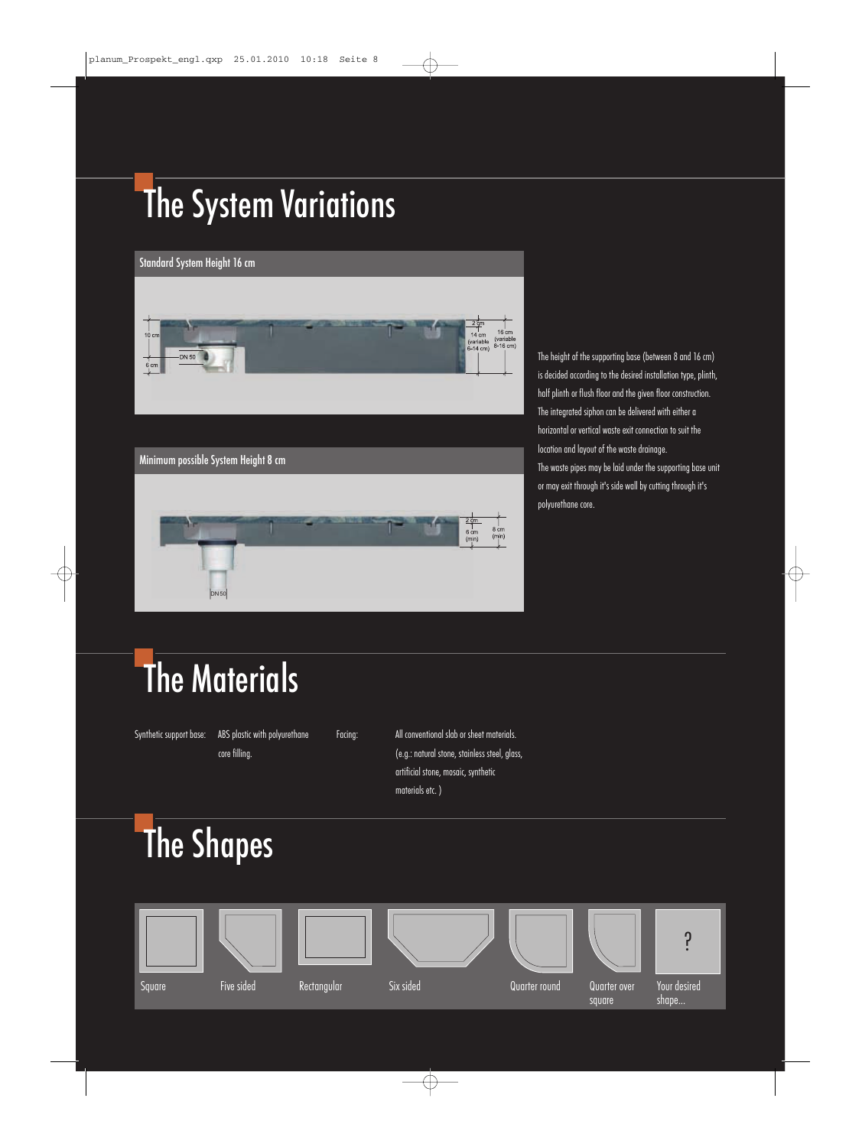# The System Variations



Minimum possible System Height 8 cm

The height of the supporting base (between 8 and 16 cm) is decided according to the desired installation type, plinth, half plinth or flush floor and the given floor construction. The integrated siphon can be delivered with either a horizontal or vertical waste exit connection to suit the location and layout of the waste drainage. The waste pipes may be laid under the supporting base unit or may exit through it's side wall by cutting through it's polyurethane core.

## **The Materials**

core filling.

**DN50** 

Synthetic support base: ABS plastic with polyurethane

Facing: All conventional slab or sheet materials. (e.g.: natural stone, stainless steel, glass, artificial stone, mosaic, synthetic materials etc. )



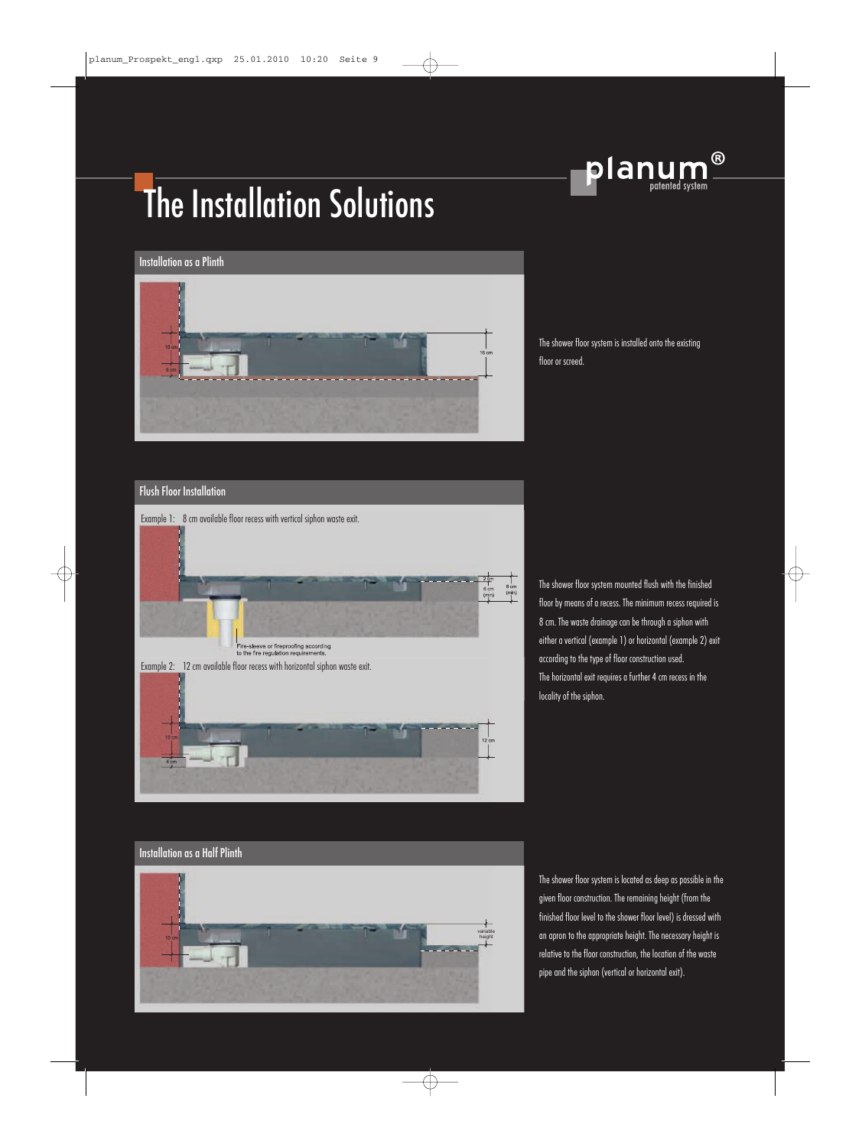

# The Installation Solutions

#### Installation as a Plinth



The shower floor system is installed onto the existing floor or screed.

#### Flush Floor Installation



The shower floor system mounted flush with the finished floor by means of a recess. The minimum recess required is 8 cm. The waste drainage can be through a siphon with either a vertical (example 1) or horizontal (example 2) exit according to the type of floor construction used. The horizontal exit requires a further 4 cm recess in the locality of the siphon.

#### Installation as a Half Plinth



The shower floor system is located as deep as possible in the given floor construction. The remaining height (from the finished floor level to the shower floor level) is dressed with an apron to the appropriate height. The necessary height is relative to the floor construction, the location of the waste pipe and the siphon (vertical or horizontal exit).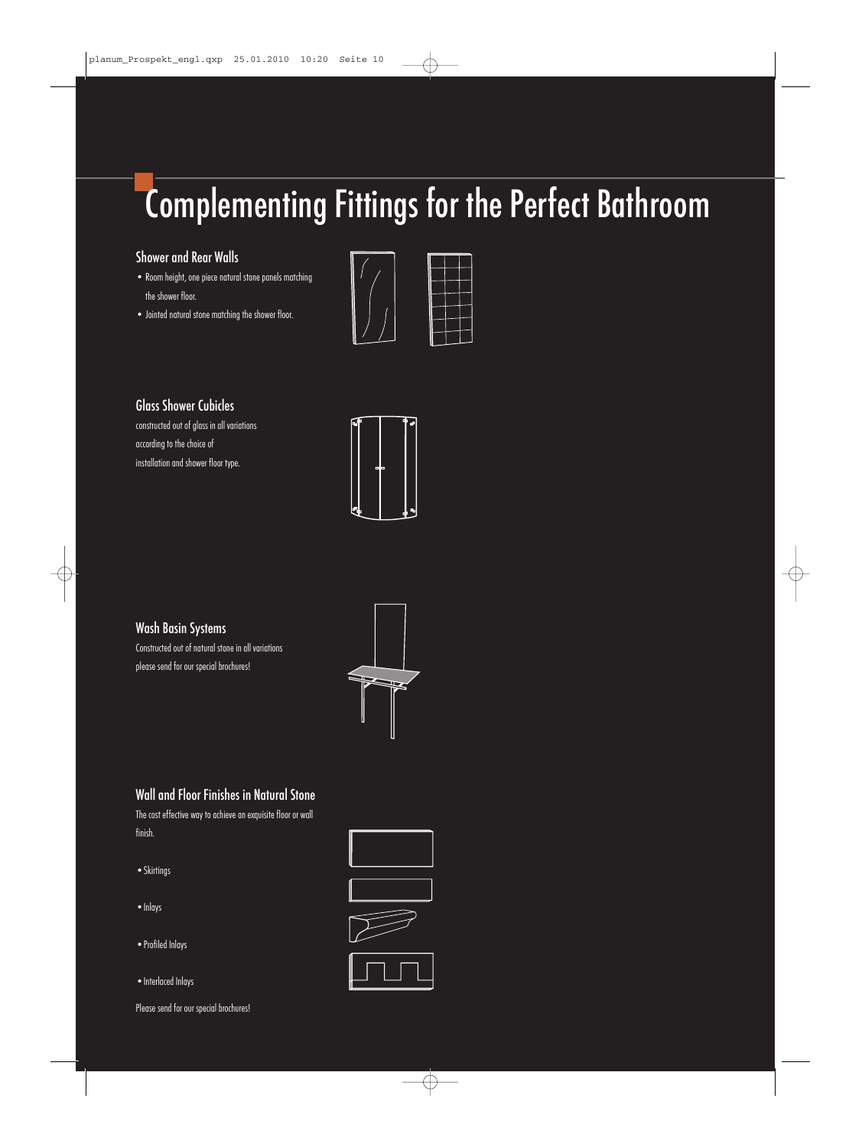# Complementing Fittings for the Perfect Bathroom

## Shower and Rear Walls

- Room height, one piece natural stone panels matching the shower floor.
- Jointed natural stone matching the shower floor.



## Glass Shower Cubicles

constructed out of glass in all variations according to the choice of installation and shower floor type.



## Wash Basin Systems

Constructed out of natural stone in all variations please send for our special brochures!



## Wall and Floor Finishes in Natural Stone

The cost effective way to achieve an exquisite floor or wall finish.

- •Skirtings
- •Inlays
- •Profiled Inlays
- •Interlaced Inlays

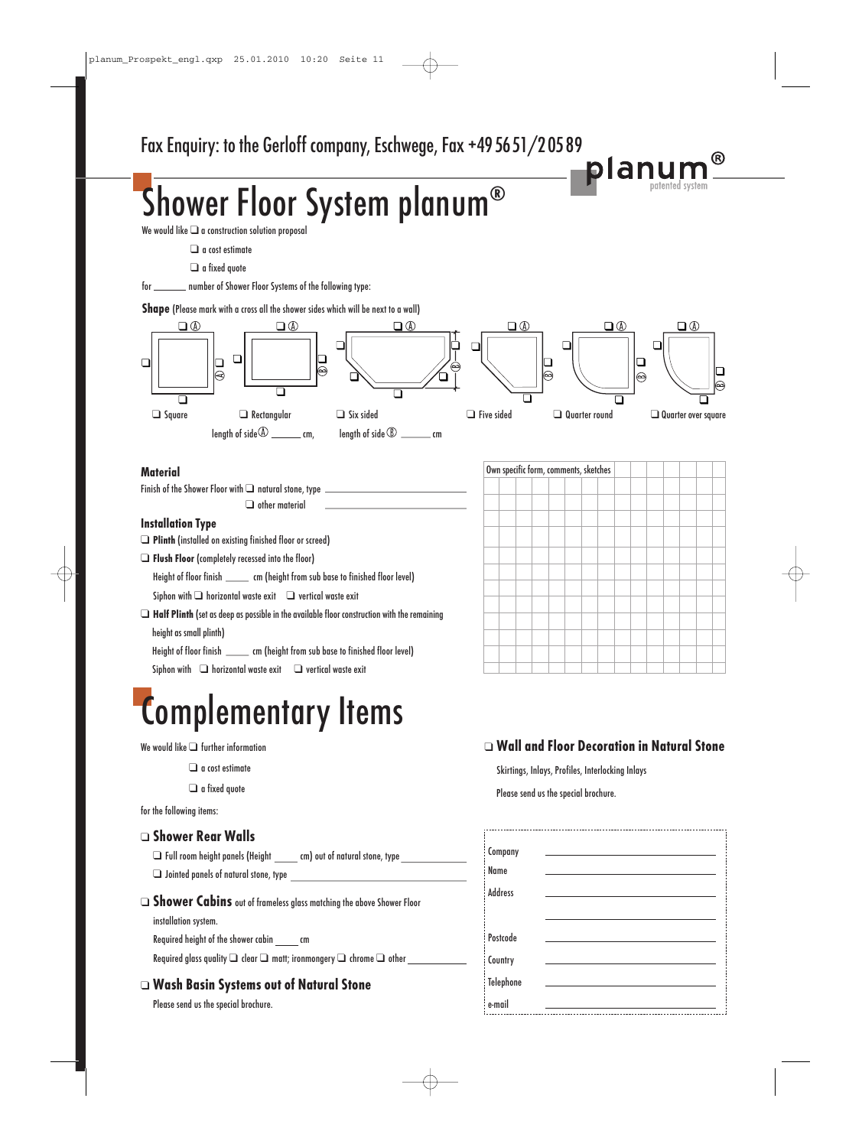# Shower Floor System planum**®**

#### We would like ❑ a construction solution proposal

- ❑ a cost estimate
- ❑ a fixed quote
- for \_\_\_\_\_\_\_\_\_ number of Shower Floor Systems of the following type:

**Shape** (Please mark with a cross all the shower sides which will be next to a wall)



#### **Material**

Finish of the Shower Floor with ❑ natural stone, type

❑ other material

#### **Installation Type**

- ❑ **Plinth**(installed on existing finished floor or screed)
- ❑ **Flush Floor** (completely recessed into the floor)

Height of floor finish \_\_\_\_\_\_ cm (height from sub base to finished floor level)

Siphon with ❑ horizontal waste exit ❑ vertical waste exit

❑ **Half Plinth**(set as deep as possible in the available floor construction with the remaining

height as small plinth)

Height of floor finish com (height from sub base to finished floor level)

Siphon with □ horizontal waste exit □ vertical waste exit

## Complementary Items

We would like ❑ further information

- ❑ a cost estimate
- ❑ a fixed quote

for the following items:

#### ❑ **Shower Rear Walls**

| $\Box$ Full room height panels (Height       | cm) out of natural stone, type |
|----------------------------------------------|--------------------------------|
| $\Box$ Jointed panels of natural stone, type |                                |

#### ❑ **Shower Cabins** out of frameless glass matching the above Shower Floor

installation system.

Required height of the shower cabin cm

Required glass quality  $\Box$  clear  $\Box$  matt; ironmongery  $\Box$  chrome  $\Box$  other  $\_$ 

## ❑ **Wash Basin Systems out of Natural Stone**

Please send us the special brochure.

# Own specific form, comments, sketches

planu

## ❑ **Wall and Floor Decoration in Natural Stone**

Skirtings, Inlays, Profiles, Interlocking Inlays

Please send us the special brochure.

| Company   |                                                                                           |
|-----------|-------------------------------------------------------------------------------------------|
| Name      |                                                                                           |
| Address   |                                                                                           |
|           |                                                                                           |
| Postcode  |                                                                                           |
| Country   |                                                                                           |
| Telephone |                                                                                           |
| e-mail    | the control of the control of the control of the control of the control of the control of |